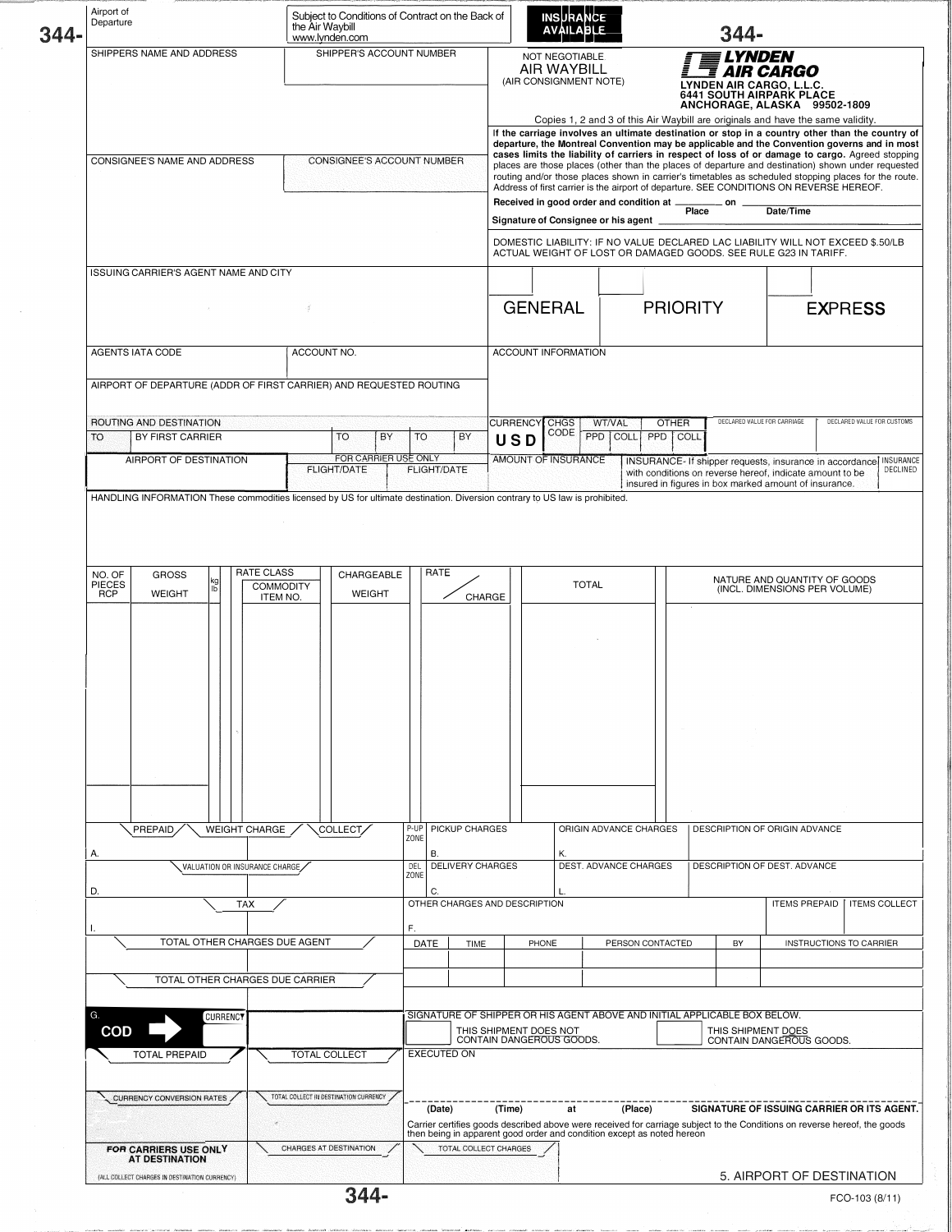| 344. | Airport of<br>Departure                           |                                                |                 |                                       | Subject to Conditions of Contract on the Back of<br>the Air Wavbill<br>www.lynden.com                                   |                                                                    |                          |                                                                               |                                                                           |                                                                                                                                                                                                                                                                                                                                                                                                                                                                                                                                                                                                                                                                                                                                                                                                                                                                                                      |       | <b>INSURANCE</b><br><b>AVAILABLE</b> |                        |                       |                 |                              | 344-                        |                                                                                                                                                                                        |                                              |          |
|------|---------------------------------------------------|------------------------------------------------|-----------------|---------------------------------------|-------------------------------------------------------------------------------------------------------------------------|--------------------------------------------------------------------|--------------------------|-------------------------------------------------------------------------------|---------------------------------------------------------------------------|------------------------------------------------------------------------------------------------------------------------------------------------------------------------------------------------------------------------------------------------------------------------------------------------------------------------------------------------------------------------------------------------------------------------------------------------------------------------------------------------------------------------------------------------------------------------------------------------------------------------------------------------------------------------------------------------------------------------------------------------------------------------------------------------------------------------------------------------------------------------------------------------------|-------|--------------------------------------|------------------------|-----------------------|-----------------|------------------------------|-----------------------------|----------------------------------------------------------------------------------------------------------------------------------------------------------------------------------------|----------------------------------------------|----------|
|      | SHIPPERS NAME AND ADDRESS                         |                                                |                 |                                       |                                                                                                                         |                                                                    | SHIPPER'S ACCOUNT NUMBER |                                                                               |                                                                           | NOT NEGOTIABLE.<br><b>LYNDEN</b><br><b>AIR WAYBILL</b><br><b>AIR CARGO</b><br>(AIR CONSIGNMENT NOTE)<br>LYNDEN AIR CARGO, L.L.C.<br><b>6441 SOUTH AIRPARK PLACE</b><br>ANCHORAGE, ALASKA 99502-1809                                                                                                                                                                                                                                                                                                                                                                                                                                                                                                                                                                                                                                                                                                  |       |                                      |                        |                       |                 |                              |                             |                                                                                                                                                                                        |                                              |          |
|      | CONSIGNEE'S NAME AND ADDRESS                      |                                                |                 |                                       | CONSIGNEE'S ACCOUNT NUMBER                                                                                              |                                                                    |                          |                                                                               |                                                                           | Copies 1, 2 and 3 of this Air Waybill are originals and have the same validity.<br>If the carriage involves an ultimate destination or stop in a country other than the country of<br>departure, the Montreal Convention may be applicable and the Convention governs and in most<br>cases limits the liability of carriers in respect of loss of or damage to cargo. Agreed stopping<br>places are those places (other than the places of departure and destination) shown under requested<br>routing and/or those places shown in carrier's timetables as scheduled stopping places for the route.<br>Address of first carrier is the airport of departure. SEE CONDITIONS ON REVERSE HEREOF.<br>Received in good order and condition at _<br>on<br>Place<br>Date/Time<br>Signature of Consignee or his agent _<br>DOMESTIC LIABILITY: IF NO VALUE DECLARED LAC LIABILITY WILL NOT EXCEED \$.50/LB |       |                                      |                        |                       |                 |                              |                             |                                                                                                                                                                                        |                                              |          |
|      |                                                   |                                                |                 |                                       |                                                                                                                         |                                                                    |                          |                                                                               |                                                                           |                                                                                                                                                                                                                                                                                                                                                                                                                                                                                                                                                                                                                                                                                                                                                                                                                                                                                                      |       |                                      |                        |                       |                 |                              |                             | ACTUAL WEIGHT OF LOST OR DAMAGED GOODS. SEE RULE G23 IN TARIFF.                                                                                                                        |                                              |          |
|      |                                                   | ISSUING CARRIER'S AGENT NAME AND CITY          | $\sim$          |                                       | ď                                                                                                                       |                                                                    |                          |                                                                               |                                                                           |                                                                                                                                                                                                                                                                                                                                                                                                                                                                                                                                                                                                                                                                                                                                                                                                                                                                                                      |       | <b>GENERAL</b>                       |                        |                       | <b>PRIORITY</b> |                              |                             |                                                                                                                                                                                        | <b>EXPRESS</b>                               |          |
|      |                                                   | <b>AGENTS IATA CODE</b>                        |                 |                                       | ACCOUNT NO.                                                                                                             |                                                                    |                          |                                                                               |                                                                           | <b>ACCOUNT INFORMATION</b>                                                                                                                                                                                                                                                                                                                                                                                                                                                                                                                                                                                                                                                                                                                                                                                                                                                                           |       |                                      |                        |                       |                 |                              |                             |                                                                                                                                                                                        |                                              |          |
|      |                                                   |                                                |                 |                                       |                                                                                                                         | AIRPORT OF DEPARTURE (ADDR OF FIRST CARRIER) AND REQUESTED ROUTING |                          |                                                                               |                                                                           |                                                                                                                                                                                                                                                                                                                                                                                                                                                                                                                                                                                                                                                                                                                                                                                                                                                                                                      |       |                                      |                        |                       |                 |                              |                             |                                                                                                                                                                                        |                                              |          |
|      |                                                   | ROUTING AND DESTINATION                        |                 |                                       |                                                                                                                         |                                                                    |                          |                                                                               |                                                                           | CURRENCY CHGS                                                                                                                                                                                                                                                                                                                                                                                                                                                                                                                                                                                                                                                                                                                                                                                                                                                                                        |       |                                      | <b>WT/VAL</b>          |                       | <b>OTHER</b>    |                              | DECLARED VALUE FOR CARRIAGE |                                                                                                                                                                                        | DECLARED VALUE FOR CUSTOMS                   |          |
|      | TO                                                | BY FIRST CARRIER                               |                 |                                       |                                                                                                                         | TO<br>BY                                                           | <b>TO</b>                |                                                                               | BY                                                                        | USD                                                                                                                                                                                                                                                                                                                                                                                                                                                                                                                                                                                                                                                                                                                                                                                                                                                                                                  |       | CODE                                 | PPD                    | COLL                  | PPD<br>COLL     |                              |                             |                                                                                                                                                                                        |                                              |          |
|      |                                                   | AIRPORT OF DESTINATION                         |                 |                                       |                                                                                                                         | FOR CARRIER USE ONLY<br><b>FLIGHT/DATE</b>                         |                          | <b>FLIGHT/DATE</b>                                                            |                                                                           | AMOUNT OF INSURANCE                                                                                                                                                                                                                                                                                                                                                                                                                                                                                                                                                                                                                                                                                                                                                                                                                                                                                  |       |                                      |                        |                       |                 |                              |                             | INSURANCE- If shipper requests, insurance in accordance INSURANCE<br>with conditions on reverse hereof, indicate amount to be<br>insured in figures in box marked amount of insurance. |                                              | DECLINED |
|      | NO. OF<br>PIECES<br><b>RCP</b>                    | <b>GROSS</b><br><b>WEIGHT</b>                  |                 | <b>RATE CLASS</b><br><b>COMMODITY</b> |                                                                                                                         | CHARGEABLE<br><b>WEIGHT</b>                                        |                          | RATE                                                                          |                                                                           |                                                                                                                                                                                                                                                                                                                                                                                                                                                                                                                                                                                                                                                                                                                                                                                                                                                                                                      |       |                                      | <b>TOTAL</b>           |                       |                 |                              |                             | NATURE AND QUANTITY OF GOODS<br>(INCL. DIMENSIONS PER VOLUME)                                                                                                                          |                                              |          |
|      |                                                   | PREPAID,                                       |                 | ITEM NO.<br><b>WEIGHT CHARGE</b>      |                                                                                                                         | COLLECT,                                                           | P-UP                     |                                                                               | CHARGE<br>PICKUP CHARGES                                                  |                                                                                                                                                                                                                                                                                                                                                                                                                                                                                                                                                                                                                                                                                                                                                                                                                                                                                                      |       |                                      | ORIGIN ADVANCE CHARGES |                       |                 |                              |                             | DESCRIPTION OF ORIGIN ADVANCE                                                                                                                                                          |                                              |          |
|      | А.                                                |                                                |                 |                                       |                                                                                                                         |                                                                    | ZONE                     | В.                                                                            |                                                                           |                                                                                                                                                                                                                                                                                                                                                                                                                                                                                                                                                                                                                                                                                                                                                                                                                                                                                                      |       | Κ.                                   |                        |                       |                 |                              |                             |                                                                                                                                                                                        |                                              |          |
|      | VALUATION OR INSURANCE CHARGE<br>D.<br><b>TAX</b> |                                                |                 |                                       |                                                                                                                         |                                                                    |                          | DEL<br><b>DELIVERY CHARGES</b><br>ZONE<br>C.<br>OTHER CHARGES AND DESCRIPTION |                                                                           |                                                                                                                                                                                                                                                                                                                                                                                                                                                                                                                                                                                                                                                                                                                                                                                                                                                                                                      |       |                                      |                        | DEST. ADVANCE CHARGES |                 | DESCRIPTION OF DEST. ADVANCE |                             |                                                                                                                                                                                        | <b>ITEMS PREPAID</b><br><b>ITEMS COLLECT</b> |          |
|      |                                                   |                                                |                 |                                       |                                                                                                                         |                                                                    | F.                       |                                                                               |                                                                           |                                                                                                                                                                                                                                                                                                                                                                                                                                                                                                                                                                                                                                                                                                                                                                                                                                                                                                      |       |                                      |                        |                       |                 |                              |                             |                                                                                                                                                                                        |                                              |          |
|      |                                                   |                                                |                 | TOTAL OTHER CHARGES DUE AGENT         |                                                                                                                         |                                                                    |                          | DATE                                                                          | TIME                                                                      |                                                                                                                                                                                                                                                                                                                                                                                                                                                                                                                                                                                                                                                                                                                                                                                                                                                                                                      | PHONE |                                      |                        | PERSON CONTACTED      |                 |                              | BY                          |                                                                                                                                                                                        | INSTRUCTIONS TO CARRIER                      |          |
|      |                                                   |                                                |                 | TOTAL OTHER CHARGES DUE CARRIER       |                                                                                                                         |                                                                    |                          |                                                                               |                                                                           |                                                                                                                                                                                                                                                                                                                                                                                                                                                                                                                                                                                                                                                                                                                                                                                                                                                                                                      |       |                                      |                        |                       |                 |                              |                             |                                                                                                                                                                                        |                                              |          |
|      |                                                   |                                                |                 |                                       |                                                                                                                         |                                                                    |                          |                                                                               |                                                                           |                                                                                                                                                                                                                                                                                                                                                                                                                                                                                                                                                                                                                                                                                                                                                                                                                                                                                                      |       |                                      |                        |                       |                 |                              |                             |                                                                                                                                                                                        |                                              |          |
|      | G.<br><b>COD</b>                                  |                                                | <b>CURRENCY</b> |                                       |                                                                                                                         |                                                                    |                          |                                                                               | SIGNATURE OF SHIPPER OR HIS AGENT ABOVE AND INITIAL APPLICABLE BOX BELOW. |                                                                                                                                                                                                                                                                                                                                                                                                                                                                                                                                                                                                                                                                                                                                                                                                                                                                                                      |       |                                      |                        |                       |                 |                              |                             |                                                                                                                                                                                        |                                              |          |
|      |                                                   | TOTAL COLLECT<br><b>TOTAL PREPAID</b>          |                 |                                       | THIS SHIPMENT DOES NOT<br>THIS SHIPMENT DOES CONTAIN DANGEROUS GOODS.<br>CONTAIN DANGEROUS GOODS.<br><b>EXECUTED ON</b> |                                                                    |                          |                                                                               |                                                                           |                                                                                                                                                                                                                                                                                                                                                                                                                                                                                                                                                                                                                                                                                                                                                                                                                                                                                                      |       |                                      |                        |                       |                 |                              |                             |                                                                                                                                                                                        |                                              |          |
|      |                                                   | <b>CURRENCY CONVERSION RATES</b>               |                 |                                       |                                                                                                                         | TOTAL COLLECT IN DESTINATION CURRENCY                              |                          | (Date)                                                                        | then being in apparent good order and condition except as noted hereon    | (Time)                                                                                                                                                                                                                                                                                                                                                                                                                                                                                                                                                                                                                                                                                                                                                                                                                                                                                               |       | at                                   |                        | (Place)               |                 |                              |                             | SIGNATURE OF ISSUING CARRIER OR ITS AGENT.<br>Carrier certifies goods described above were received for carriage subject to the Conditions on reverse hereof, the goods                |                                              |          |
|      |                                                   |                                                |                 |                                       |                                                                                                                         |                                                                    |                          |                                                                               |                                                                           |                                                                                                                                                                                                                                                                                                                                                                                                                                                                                                                                                                                                                                                                                                                                                                                                                                                                                                      |       |                                      |                        |                       |                 |                              |                             |                                                                                                                                                                                        |                                              |          |
|      |                                                   | FOR CARRIERS USE ONLY<br><b>AT DESTINATION</b> |                 |                                       |                                                                                                                         | CHARGES AT DESTINATION                                             |                          |                                                                               | TOTAL COLLECT CHARGES                                                     |                                                                                                                                                                                                                                                                                                                                                                                                                                                                                                                                                                                                                                                                                                                                                                                                                                                                                                      |       |                                      |                        |                       |                 |                              |                             |                                                                                                                                                                                        |                                              |          |

 $\bar{\gamma}$ 

---,·--·-------·-·--�----•--------··- - -- ---� ----'---� ��- �� �� �·� J